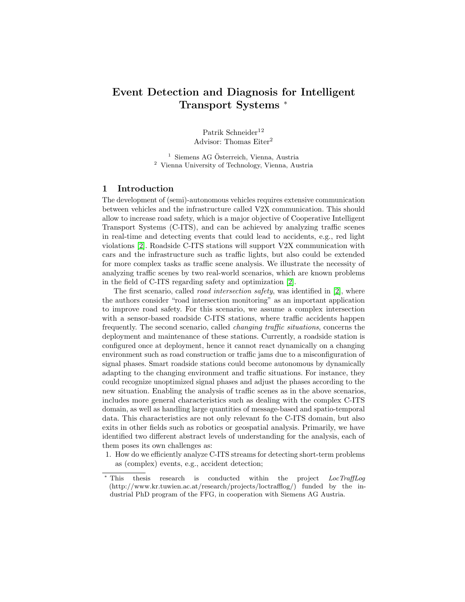# Event Detection and Diagnosis for Intelligent Transport Systems <sup>\*</sup>

Patrik Schneider<sup>12</sup> Advisor: Thomas Eiter<sup>2</sup>

 $<sup>1</sup>$  Siemens AG Österreich, Vienna, Austria</sup> <sup>2</sup> Vienna University of Technology, Vienna, Austria

#### 1 Introduction

The development of (semi)-autonomous vehicles requires extensive communication between vehicles and the infrastructure called V2X communication. This should allow to increase road safety, which is a major objective of Cooperative Intelligent Transport Systems (C-ITS), and can be achieved by analyzing traffic scenes in real-time and detecting events that could lead to accidents, e.g., red light violations [\[2\]](#page-6-0). Roadside C-ITS stations will support V2X communication with cars and the infrastructure such as traffic lights, but also could be extended for more complex tasks as traffic scene analysis. We illustrate the necessity of analyzing traffic scenes by two real-world scenarios, which are known problems in the field of C-ITS regarding safety and optimization [\[2\]](#page-6-0).

The first scenario, called *road intersection safety*, was identified in  $[2]$ , where the authors consider "road intersection monitoring" as an important application to improve road safety. For this scenario, we assume a complex intersection with a sensor-based roadside C-ITS stations, where traffic accidents happen frequently. The second scenario, called changing traffic situations, concerns the deployment and maintenance of these stations. Currently, a roadside station is configured once at deployment, hence it cannot react dynamically on a changing environment such as road construction or traffic jams due to a misconfiguration of signal phases. Smart roadside stations could become autonomous by dynamically adapting to the changing environment and traffic situations. For instance, they could recognize unoptimized signal phases and adjust the phases according to the new situation. Enabling the analysis of traffic scenes as in the above scenarios, includes more general characteristics such as dealing with the complex C-ITS domain, as well as handling large quantities of message-based and spatio-temporal data. This characteristics are not only relevant fo the C-ITS domain, but also exits in other fields such as robotics or geospatial analysis. Primarily, we have identified two different abstract levels of understanding for the analysis, each of them poses its own challenges as:

1. How do we efficiently analyze C-ITS streams for detecting short-term problems as (complex) events, e.g., accident detection;

<sup>∗</sup> This thesis research is conducted within the project LocTraffLog (http://www.kr.tuwien.ac.at/research/projects/loctrafflog/) funded by the industrial PhD program of the FFG, in cooperation with Siemens AG Austria.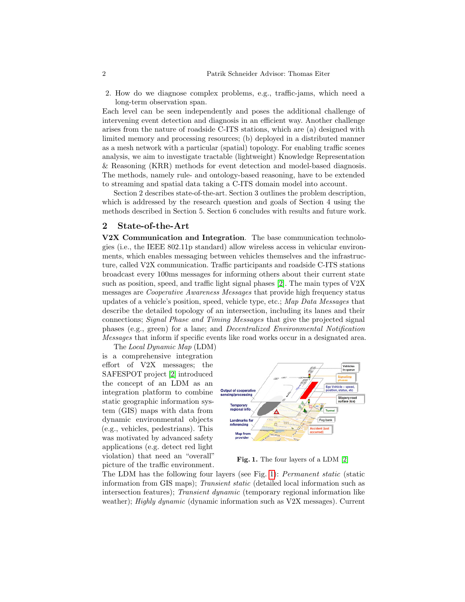2. How do we diagnose complex problems, e.g., traffic-jams, which need a long-term observation span.

Each level can be seen independently and poses the additional challenge of intervening event detection and diagnosis in an efficient way. Another challenge arises from the nature of roadside C-ITS stations, which are (a) designed with limited memory and processing resources; (b) deployed in a distributed manner as a mesh network with a particular (spatial) topology. For enabling traffic scenes analysis, we aim to investigate tractable (lightweight) Knowledge Representation & Reasoning (KRR) methods for event detection and model-based diagnosis. The methods, namely rule- and ontology-based reasoning, have to be extended to streaming and spatial data taking a C-ITS domain model into account.

Section 2 describes state-of-the-art. Section 3 outlines the problem description, which is addressed by the research question and goals of Section 4 using the methods described in Section 5. Section 6 concludes with results and future work.

#### 2 State-of-the-Art

V2X Communication and Integration. The base communication technologies (i.e., the IEEE 802.11p standard) allow wireless access in vehicular environments, which enables messaging between vehicles themselves and the infrastructure, called V2X communication. Traffic participants and roadside C-ITS stations broadcast every 100ms messages for informing others about their current state such as position, speed, and traffic light signal phases [\[2\]](#page-6-0). The main types of V2X messages are Cooperative Awareness Messages that provide high frequency status updates of a vehicle's position, speed, vehicle type, etc.; Map Data Messages that describe the detailed topology of an intersection, including its lanes and their connections; Signal Phase and Timing Messages that give the projected signal phases (e.g., green) for a lane; and Decentralized Environmental Notification Messages that inform if specific events like road works occur in a designated area.

The Local Dynamic Map (LDM) is a comprehensive integration effort of V2X messages; the SAFESPOT project [\[2\]](#page-6-0) introduced the concept of an LDM as an integration platform to combine static geographic information system (GIS) maps with data from dynamic environmental objects (e.g., vehicles, pedestrians). This was motivated by advanced safety applications (e.g. detect red light violation) that need an "overall" picture of the traffic environment.



<span id="page-1-0"></span>Fig. 1. The four layers of a LDM [\[2\]](#page-6-0)

The LDM has the following four layers (see Fig. [1\)](#page-1-0): Permanent static (static information from GIS maps); Transient static (detailed local information such as intersection features); Transient dynamic (temporary regional information like weather); *Highly dynamic* (dynamic information such as V2X messages). Current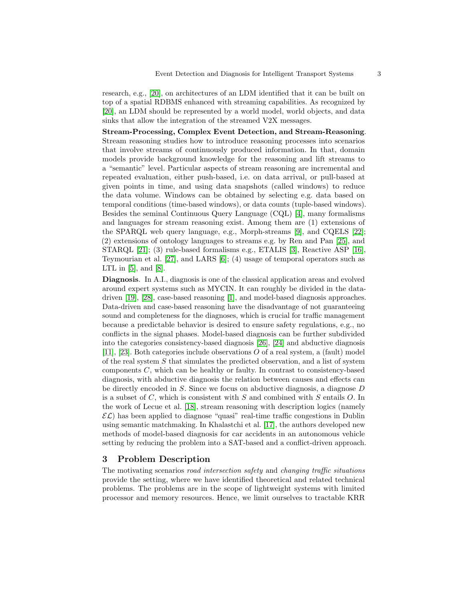research, e.g., [\[20\]](#page-7-0), on architectures of an LDM identified that it can be built on top of a spatial RDBMS enhanced with streaming capabilities. As recognized by [\[20\]](#page-7-0), an LDM should be represented by a world model, world objects, and data sinks that allow the integration of the streamed V2X messages.

Stream-Processing, Complex Event Detection, and Stream-Reasoning. Stream reasoning studies how to introduce reasoning processes into scenarios that involve streams of continuously produced information. In that, domain models provide background knowledge for the reasoning and lift streams to a "semantic" level. Particular aspects of stream reasoning are incremental and repeated evaluation, either push-based, i.e. on data arrival, or pull-based at given points in time, and using data snapshots (called windows) to reduce the data volume. Windows can be obtained by selecting e.g. data based on temporal conditions (time-based windows), or data counts (tuple-based windows). Besides the seminal Continuous Query Language (CQL) [\[4\]](#page-6-1), many formalisms and languages for stream reasoning exist. Among them are (1) extensions of the SPARQL web query language, e.g., Morph-streams [\[9\]](#page-7-1), and CQELS [\[22\]](#page-7-2); (2) extensions of ontology languages to streams e.g. by Ren and Pan [\[25\]](#page-7-3), and STARQL [\[21\]](#page-7-4); (3) rule-based formalisms e.g., ETALIS [\[3\]](#page-6-2), Reactive ASP [\[16\]](#page-7-5), Teymourian et al. [\[27\]](#page-7-6), and LARS [\[6\]](#page-7-7); (4) usage of temporal operators such as LTL in  $[5]$ , and  $[8]$ .

Diagnosis. In A.I., diagnosis is one of the classical application areas and evolved around expert systems such as MYCIN. It can roughly be divided in the datadriven [\[19\]](#page-7-9), [\[28\]](#page-7-10), case-based reasoning [\[1\]](#page-6-4), and model-based diagnosis approaches. Data-driven and case-based reasoning have the disadvantage of not guaranteeing sound and completeness for the diagnoses, which is crucial for traffic management because a predictable behavior is desired to ensure safety regulations, e.g., no conflicts in the signal phases. Model-based diagnosis can be further subdivided into the categories consistency-based diagnosis [\[26\]](#page-7-11), [\[24\]](#page-7-12) and abductive diagnosis [\[11\]](#page-7-13), [\[23\]](#page-7-14). Both categories include observations O of a real system, a (fault) model of the real system  $S$  that simulates the predicted observation, and a list of system components C, which can be healthy or faulty. In contrast to consistency-based diagnosis, with abductive diagnosis the relation between causes and effects can be directly encoded in S. Since we focus on abductive diagnosis, a diagnose D is a subset of  $C$ , which is consistent with  $S$  and combined with  $S$  entails  $O$ . In the work of Lecue et al. [\[18\]](#page-7-15), stream reasoning with description logics (namely  $\mathcal{EL}$ ) has been applied to diagnose "quasi" real-time traffic congestions in Dublin using semantic matchmaking. In Khalastchi et al. [\[17\]](#page-7-16), the authors developed new methods of model-based diagnosis for car accidents in an autonomous vehicle setting by reducing the problem into a SAT-based and a conflict-driven approach.

## 3 Problem Description

The motivating scenarios road intersection safety and changing traffic situations provide the setting, where we have identified theoretical and related technical problems. The problems are in the scope of lightweight systems with limited processor and memory resources. Hence, we limit ourselves to tractable KRR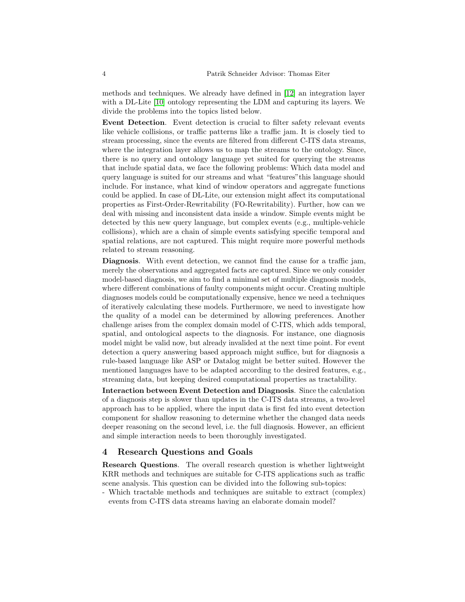methods and techniques. We already have defined in [\[12\]](#page-7-17) an integration layer with a DL-Lite [\[10\]](#page-7-18) ontology representing the LDM and capturing its layers. We divide the problems into the topics listed below.

Event Detection. Event detection is crucial to filter safety relevant events like vehicle collisions, or traffic patterns like a traffic jam. It is closely tied to stream processing, since the events are filtered from different C-ITS data streams, where the integration layer allows us to map the streams to the ontology. Since, there is no query and ontology language yet suited for querying the streams that include spatial data, we face the following problems: Which data model and query language is suited for our streams and what "features"this language should include. For instance, what kind of window operators and aggregate functions could be applied. In case of DL-Lite, our extension might affect its computational properties as First-Order-Rewritability (FO-Rewritability). Further, how can we deal with missing and inconsistent data inside a window. Simple events might be detected by this new query language, but complex events (e.g., multiple-vehicle collisions), which are a chain of simple events satisfying specific temporal and spatial relations, are not captured. This might require more powerful methods related to stream reasoning.

Diagnosis. With event detection, we cannot find the cause for a traffic jam, merely the observations and aggregated facts are captured. Since we only consider model-based diagnosis, we aim to find a minimal set of multiple diagnosis models, where different combinations of faulty components might occur. Creating multiple diagnoses models could be computationally expensive, hence we need a techniques of iteratively calculating these models. Furthermore, we need to investigate how the quality of a model can be determined by allowing preferences. Another challenge arises from the complex domain model of C-ITS, which adds temporal, spatial, and ontological aspects to the diagnosis. For instance, one diagnosis model might be valid now, but already invalided at the next time point. For event detection a query answering based approach might suffice, but for diagnosis a rule-based language like ASP or Datalog might be better suited. However the mentioned languages have to be adapted according to the desired features, e.g., streaming data, but keeping desired computational properties as tractability.

Interaction between Event Detection and Diagnosis. Since the calculation of a diagnosis step is slower than updates in the C-ITS data streams, a two-level approach has to be applied, where the input data is first fed into event detection component for shallow reasoning to determine whether the changed data needs deeper reasoning on the second level, i.e. the full diagnosis. However, an efficient and simple interaction needs to been thoroughly investigated.

## 4 Research Questions and Goals

Research Questions. The overall research question is whether lightweight KRR methods and techniques are suitable for C-ITS applications such as traffic scene analysis. This question can be divided into the following sub-topics:

- Which tractable methods and techniques are suitable to extract (complex) events from C-ITS data streams having an elaborate domain model?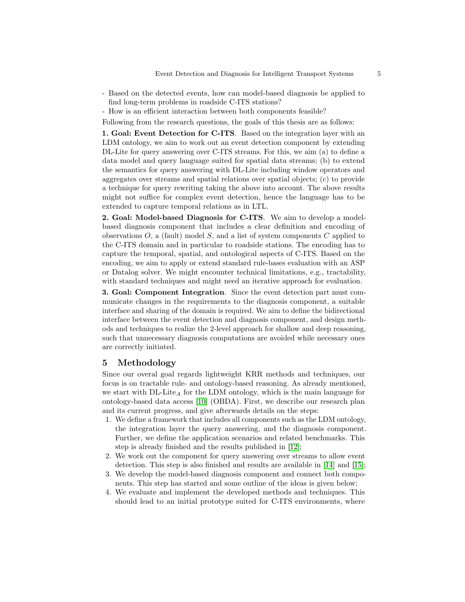- Based on the detected events, how can model-based diagnosis be applied to find long-term problems in roadside C-ITS stations?
- How is an efficient interaction between both components feasible?
- Following from the research questions, the goals of this thesis are as follows:

1. Goal: Event Detection for C-ITS. Based on the integration layer with an LDM ontology, we aim to work out an event detection component by extending DL-Lite for query answering over C-ITS streams. For this, we aim (a) to define a data model and query language suited for spatial data streams; (b) to extend the semantics for query answering with DL-Lite including window operators and aggregates over streams and spatial relations over spatial objects; (c) to provide a technique for query rewriting taking the above into account. The above results might not suffice for complex event detection, hence the language has to be extended to capture temporal relations as in LTL.

2. Goal: Model-based Diagnosis for C-ITS. We aim to develop a modelbased diagnosis component that includes a clear definition and encoding of observations  $O$ , a (fault) model  $S$ , and a list of system components  $C$  applied to the C-ITS domain and in particular to roadside stations. The encoding has to capture the temporal, spatial, and ontological aspects of C-ITS. Based on the encoding, we aim to apply or extend standard rule-bases evaluation with an ASP or Datalog solver. We might encounter technical limitations, e.g., tractability, with standard techniques and might need an iterative approach for evaluation.

3. Goal: Component Integration. Since the event detection part must communicate changes in the requirements to the diagnosis component, a suitable interface and sharing of the domain is required. We aim to define the bidirectional interface between the event detection and diagnosis component, and design methods and techniques to realize the 2-level approach for shallow and deep reasoning, such that unnecessary diagnosis computations are avoided while necessary ones are correctly initiated.

### 5 Methodology

Since our overal goal regards lightweight KRR methods and techniques, our focus is on tractable rule- and ontology-based reasoning. As already mentioned, we start with  $DL\text{-}Like_A$  for the LDM ontology, which is the main language for ontology-based data access [\[10\]](#page-7-18) (OBDA). First, we describe our research plan and its current progress, and give afterwards details on the steps:

- 1. We define a framework that includes all components such as the LDM ontology, the integration layer the query answering, and the diagnosis component. Further, we define the application scenarios and related benchmarks. This step is already finished and the results published in [\[12\]](#page-7-17);
- 2. We work out the component for query answering over streams to allow event detection. This step is also finished and results are available in [\[14\]](#page-7-19) and [\[15\]](#page-7-20);
- 3. We develop the model-based diagnosis component and connect both components. This step has started and some outline of the ideas is given below;
- 4. We evaluate and implement the developed methods and techniques. This should lead to an initial prototype suited for C-ITS environments, where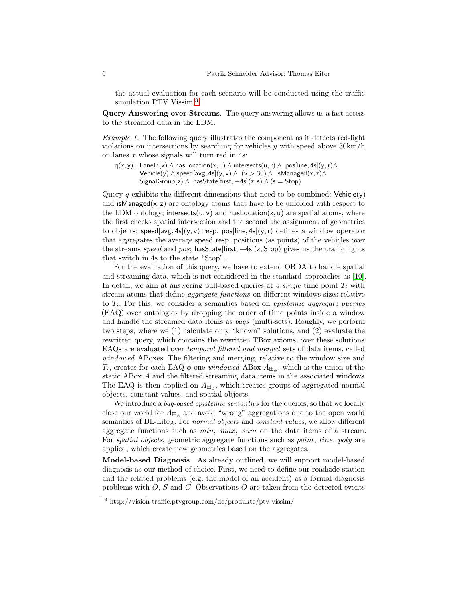the actual evaluation for each scenario will be conducted using the traffic simulation PTV Vissim.[3](#page-5-0)

Query Answering over Streams. The query answering allows us a fast access to the streamed data in the LDM.

Example 1. The following query illustrates the component as it detects red-light violations on intersections by searching for vehicles  $y$  with speed above  $30 \text{km/h}$ on lanes  $x$  whose signals will turn red in 4s:

 $q(x, y)$  : Laneln(x)  $\land$  hasLocation(x, u)  $\land$  intersects(u, r)  $\land$  pos[line, 4s](y, r) $\land$ Vehicle(y)  $\land$  speed[avg, 4s](y, v)  $\land$  (v > 30)  $\land$  isManaged(x, z) $\land$ SignalGroup(z)  $\land$  hasState[first,  $-4s$ ](z, s)  $\land$  (s = Stop)

Query q exhibits the different dimensions that need to be combined:  $Vehicle(v)$ and isManaged $(x, z)$  are ontology atoms that have to be unfolded with respect to the LDM ontology; intersects $(u, v)$  and hasLocation $(x, u)$  are spatial atoms, where the first checks spatial intersection and the second the assignment of geometries to objects; speed[avg, 4s](y, y) resp. pos[line, 4s](y, r) defines a window operator that aggregates the average speed resp. positions (as points) of the vehicles over the streams speed and pos; has State [first,  $-4s$ ](z, Stop) gives us the traffic lights that switch in 4s to the state "Stop".

For the evaluation of this query, we have to extend OBDA to handle spatial and streaming data, which is not considered in the standard approaches as [\[10\]](#page-7-18). In detail, we aim at answering pull-based queries at a single time point  $T_i$  with stream atoms that define aggregate functions on different windows sizes relative to  $T_i$ . For this, we consider a semantics based on *epistemic aggregate queries* (EAQ) over ontologies by dropping the order of time points inside a window and handle the streamed data items as bags (multi-sets). Roughly, we perform two steps, where we (1) calculate only "known" solutions, and (2) evaluate the rewritten query, which contains the rewritten TBox axioms, over these solutions. EAQs are evaluated over temporal filtered and merged sets of data items, called windowed ABoxes. The filtering and merging, relative to the window size and  $T_i$ , creates for each EAQ  $\phi$  one *windowed* ABox  $A_{\boxplus_{\phi}}$ , which is the union of the static ABox A and the filtered streaming data items in the associated windows. The EAQ is then applied on  $A_{\boxplus_{\phi}}$ , which creates groups of aggregated normal objects, constant values, and spatial objects.

We introduce a *bag-based epistemic semantics* for the queries, so that we locally close our world for  $A_{\boxplus_{\phi}}$  and avoid "wrong" aggregations due to the open world semantics of  $DL\text{-}\text{Life}_A$ . For normal objects and constant values, we allow different aggregate functions such as min, max, sum on the data items of a stream. For spatial objects, geometric aggregate functions such as point, line, poly are applied, which create new geometries based on the aggregates.

Model-based Diagnosis. As already outlined, we will support model-based diagnosis as our method of choice. First, we need to define our roadside station and the related problems (e.g. the model of an accident) as a formal diagnosis problems with  $O$ , S and C. Observations  $O$  are taken from the detected events

<span id="page-5-0"></span> $3 \text{ http://vision-traffic.python.com/de/produkte/ptv-vissim/}$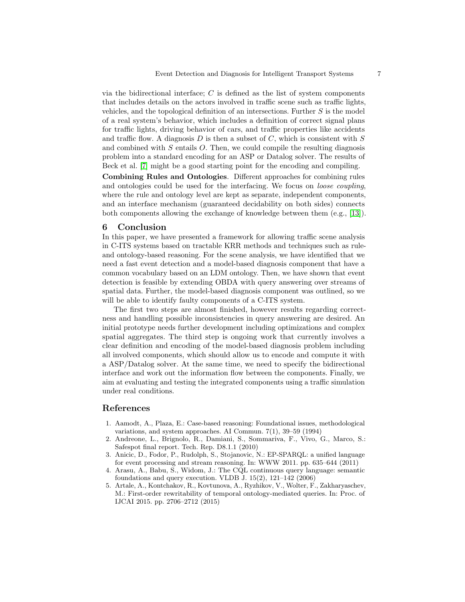via the bidirectional interface;  $C$  is defined as the list of system components that includes details on the actors involved in traffic scene such as traffic lights, vehicles, and the topological definition of an intersections. Further S is the model of a real system's behavior, which includes a definition of correct signal plans for traffic lights, driving behavior of cars, and traffic properties like accidents and traffic flow. A diagnosis  $D$  is then a subset of  $C$ , which is consistent with  $S$ and combined with  $S$  entails  $O$ . Then, we could compile the resulting diagnosis problem into a standard encoding for an ASP or Datalog solver. The results of Beck et al. [\[7\]](#page-7-21) might be a good starting point for the encoding and compiling.

Combining Rules and Ontologies. Different approaches for combining rules and ontologies could be used for the interfacing. We focus on *loose coupling*, where the rule and ontology level are kept as separate, independent components, and an interface mechanism (guaranteed decidability on both sides) connects both components allowing the exchange of knowledge between them (e.g., [\[13\]](#page-7-22)).

#### 6 Conclusion

In this paper, we have presented a framework for allowing traffic scene analysis in C-ITS systems based on tractable KRR methods and techniques such as ruleand ontology-based reasoning. For the scene analysis, we have identified that we need a fast event detection and a model-based diagnosis component that have a common vocabulary based on an LDM ontology. Then, we have shown that event detection is feasible by extending OBDA with query answering over streams of spatial data. Further, the model-based diagnosis component was outlined, so we will be able to identify faulty components of a C-ITS system.

The first two steps are almost finished, however results regarding correctness and handling possible inconsistencies in query answering are desired. An initial prototype needs further development including optimizations and complex spatial aggregates. The third step is ongoing work that currently involves a clear definition and encoding of the model-based diagnosis problem including all involved components, which should allow us to encode and compute it with a ASP/Datalog solver. At the same time, we need to specify the bidirectional interface and work out the information flow between the components. Finally, we aim at evaluating and testing the integrated components using a traffic simulation under real conditions.

# References

- <span id="page-6-4"></span>1. Aamodt, A., Plaza, E.: Case-based reasoning: Foundational issues, methodological variations, and system approaches. AI Commun. 7(1), 39–59 (1994)
- <span id="page-6-0"></span>2. Andreone, L., Brignolo, R., Damiani, S., Sommariva, F., Vivo, G., Marco, S.: Safespot final report. Tech. Rep. D8.1.1 (2010)
- <span id="page-6-2"></span>3. Anicic, D., Fodor, P., Rudolph, S., Stojanovic, N.: EP-SPARQL: a unified language for event processing and stream reasoning. In: WWW 2011. pp. 635–644 (2011)
- <span id="page-6-1"></span>4. Arasu, A., Babu, S., Widom, J.: The CQL continuous query language: semantic foundations and query execution. VLDB J. 15(2), 121–142 (2006)
- <span id="page-6-3"></span>5. Artale, A., Kontchakov, R., Kovtunova, A., Ryzhikov, V., Wolter, F., Zakharyaschev, M.: First-order rewritability of temporal ontology-mediated queries. In: Proc. of IJCAI 2015. pp. 2706–2712 (2015)